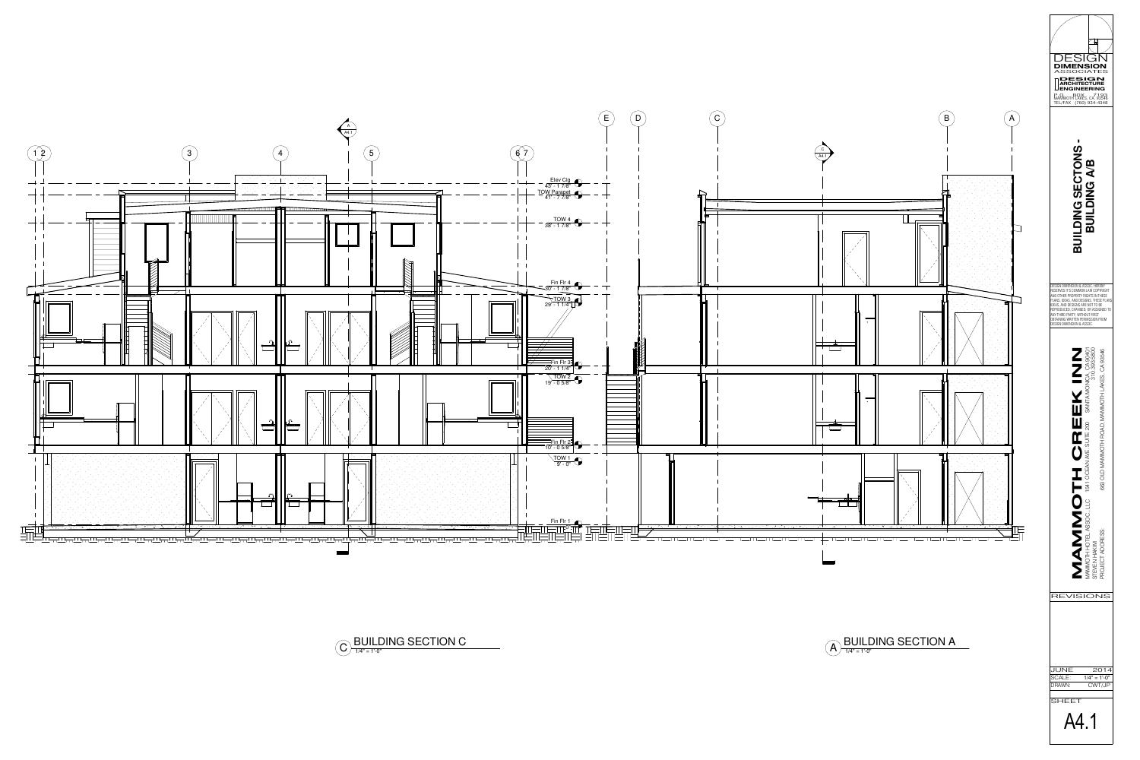PROJECT ADDRESS: 663 OLD MAMMOTH ROAD, MAMMOTH LAKES, CA 93546